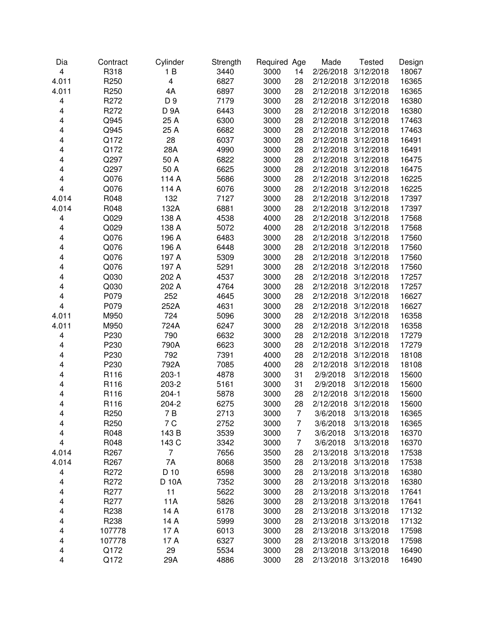| Dia   | Contract         | Cylinder    | Strength | Required Age |                | Made      | <b>Tested</b>       | Design |
|-------|------------------|-------------|----------|--------------|----------------|-----------|---------------------|--------|
| 4     | R318             | 1B          | 3440     | 3000         | 14             | 2/26/2018 | 3/12/2018           | 18067  |
| 4.011 | R <sub>250</sub> | 4           | 6827     | 3000         | 28             | 2/12/2018 | 3/12/2018           | 16365  |
| 4.011 | R <sub>250</sub> | 4A          | 6897     | 3000         | 28             | 2/12/2018 | 3/12/2018           | 16365  |
| 4     | R272             | D 9         | 7179     | 3000         | 28             | 2/12/2018 | 3/12/2018           | 16380  |
| 4     | R272             | <b>D 9A</b> | 6443     | 3000         | 28             | 2/12/2018 | 3/12/2018           | 16380  |
| 4     | Q945             | 25 A        | 6300     | 3000         | 28             | 2/12/2018 | 3/12/2018           | 17463  |
| 4     | Q945             | 25 A        | 6682     | 3000         | 28             | 2/12/2018 | 3/12/2018           | 17463  |
| 4     | Q172             | 28          | 6037     | 3000         | 28             | 2/12/2018 | 3/12/2018           | 16491  |
| 4     | Q172             | 28A         | 4990     | 3000         | 28             | 2/12/2018 | 3/12/2018           | 16491  |
| 4     | Q297             | 50 A        | 6822     | 3000         | 28             | 2/12/2018 | 3/12/2018           | 16475  |
| 4     | Q297             | 50 A        | 6625     | 3000         | 28             | 2/12/2018 | 3/12/2018           | 16475  |
| 4     | Q076             | 114 A       | 5686     | 3000         | 28             | 2/12/2018 | 3/12/2018           | 16225  |
| 4     | Q076             | 114 A       | 6076     | 3000         | 28             | 2/12/2018 | 3/12/2018           | 16225  |
| 4.014 | R048             | 132         | 7127     | 3000         | 28             | 2/12/2018 | 3/12/2018           | 17397  |
| 4.014 | R048             | 132A        | 6881     | 3000         | 28             | 2/12/2018 | 3/12/2018           | 17397  |
| 4     | Q029             | 138 A       | 4538     | 4000         | 28             | 2/12/2018 | 3/12/2018           | 17568  |
| 4     | Q029             | 138 A       | 5072     | 4000         | 28             | 2/12/2018 | 3/12/2018           | 17568  |
| 4     | Q076             | 196 A       | 6483     | 3000         | 28             | 2/12/2018 | 3/12/2018           | 17560  |
| 4     | Q076             | 196 A       | 6448     | 3000         | 28             | 2/12/2018 | 3/12/2018           | 17560  |
| 4     | Q076             | 197 A       | 5309     | 3000         | 28             | 2/12/2018 | 3/12/2018           | 17560  |
| 4     | Q076             | 197 A       | 5291     | 3000         | 28             | 2/12/2018 | 3/12/2018           | 17560  |
| 4     | Q030             | 202 A       | 4537     | 3000         | 28             | 2/12/2018 | 3/12/2018           | 17257  |
| 4     | Q030             | 202 A       | 4764     | 3000         | 28             | 2/12/2018 | 3/12/2018           | 17257  |
| 4     | P079             | 252         | 4645     | 3000         | 28             | 2/12/2018 | 3/12/2018           | 16627  |
| 4     | P079             | 252A        | 4631     | 3000         | 28             | 2/12/2018 | 3/12/2018           | 16627  |
| 4.011 | M950             | 724         | 5096     | 3000         | 28             | 2/12/2018 | 3/12/2018           | 16358  |
| 4.011 | M950             | 724A        | 6247     | 3000         | 28             | 2/12/2018 | 3/12/2018           | 16358  |
| 4     | P230             | 790         | 6632     | 3000         | 28             | 2/12/2018 | 3/12/2018           | 17279  |
| 4     | P230             | 790A        | 6623     | 3000         | 28             | 2/12/2018 | 3/12/2018           | 17279  |
| 4     | P230             | 792         | 7391     | 4000         | 28             | 2/12/2018 | 3/12/2018           | 18108  |
| 4     | P230             | 792A        | 7085     | 4000         | 28             | 2/12/2018 | 3/12/2018           | 18108  |
| 4     | R116             | $203-1$     | 4878     | 3000         | 31             | 2/9/2018  | 3/12/2018           | 15600  |
| 4     | R116             | 203-2       | 5161     | 3000         | 31             | 2/9/2018  | 3/12/2018           | 15600  |
| 4     | R116             | $204 - 1$   | 5878     | 3000         | 28             | 2/12/2018 | 3/12/2018           | 15600  |
| 4     | R116             | 204-2       | 6275     | 3000         | 28             | 2/12/2018 | 3/12/2018           | 15600  |
| 4     | R250             | 7 B         | 2713     | 3000         | $\overline{7}$ | 3/6/2018  | 3/13/2018           | 16365  |
| 4     | R <sub>250</sub> | 7 C         | 2752     | 3000         | 7              | 3/6/2018  | 3/13/2018           | 16365  |
| 4     | R048             | 143 B       | 3539     | 3000         | 7              | 3/6/2018  | 3/13/2018           | 16370  |
| 4     | R048             | 143 C       | 3342     | 3000         | 7              | 3/6/2018  | 3/13/2018           | 16370  |
| 4.014 | R <sub>267</sub> | 7           | 7656     | 3500         | 28             | 2/13/2018 | 3/13/2018           | 17538  |
| 4.014 | R <sub>267</sub> | 7A          | 8068     | 3500         | 28             | 2/13/2018 | 3/13/2018           | 17538  |
| 4     | R272             | D 10        | 6598     | 3000         | 28             | 2/13/2018 | 3/13/2018           | 16380  |
| 4     | R272             | D 10A       | 7352     | 3000         | 28             | 2/13/2018 | 3/13/2018           | 16380  |
| 4     | R <sub>277</sub> | 11          | 5622     | 3000         | 28             | 2/13/2018 | 3/13/2018           | 17641  |
| 4     | R277             | 11A         | 5826     | 3000         | 28             | 2/13/2018 | 3/13/2018           | 17641  |
| 4     | R238             | 14 A        | 6178     | 3000         | 28             | 2/13/2018 | 3/13/2018           | 17132  |
| 4     | R238             | 14 A        | 5999     | 3000         | 28             | 2/13/2018 | 3/13/2018           | 17132  |
| 4     | 107778           | 17 A        | 6013     | 3000         | 28             | 2/13/2018 | 3/13/2018           | 17598  |
| 4     | 107778           | 17 A        | 6327     | 3000         | 28             | 2/13/2018 | 3/13/2018           | 17598  |
| 4     | Q172             | 29          | 5534     | 3000         | 28             | 2/13/2018 | 3/13/2018           | 16490  |
| 4     | Q172             | 29A         | 4886     | 3000         | 28             |           | 2/13/2018 3/13/2018 | 16490  |
|       |                  |             |          |              |                |           |                     |        |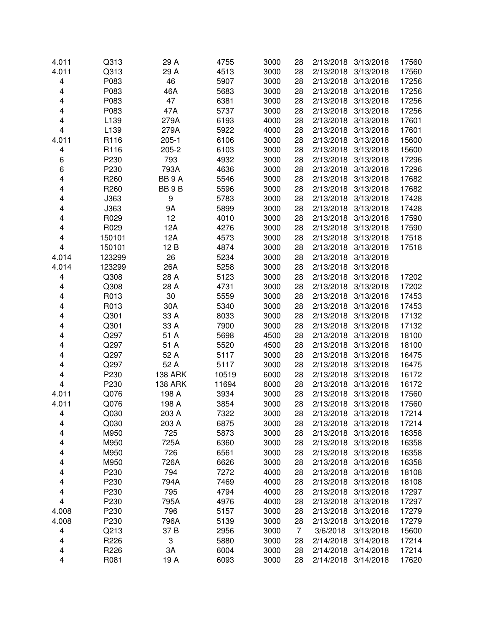| 4.011 | Q313             | 29 A              | 4755  | 3000 | 28             | 2/13/2018 | 3/13/2018           | 17560 |
|-------|------------------|-------------------|-------|------|----------------|-----------|---------------------|-------|
| 4.011 | Q313             | 29 A              | 4513  | 3000 | 28             | 2/13/2018 | 3/13/2018           | 17560 |
| 4     | P083             | 46                | 5907  | 3000 | 28             | 2/13/2018 | 3/13/2018           | 17256 |
| 4     | P083             | 46A               | 5683  | 3000 | 28             | 2/13/2018 | 3/13/2018           | 17256 |
| 4     | P083             | 47                | 6381  | 3000 | 28             | 2/13/2018 | 3/13/2018           | 17256 |
| 4     | P083             | 47A               | 5737  | 3000 | 28             | 2/13/2018 | 3/13/2018           | 17256 |
| 4     | L139             | 279A              | 6193  | 4000 | 28             | 2/13/2018 | 3/13/2018           | 17601 |
| 4     | L139             | 279A              | 5922  | 4000 | 28             | 2/13/2018 | 3/13/2018           | 17601 |
| 4.011 | R116             | $205 - 1$         | 6106  | 3000 | 28             | 2/13/2018 | 3/13/2018           | 15600 |
| 4     | R116             | $205 - 2$         | 6103  | 3000 | 28             | 2/13/2018 | 3/13/2018           | 15600 |
| 6     | P230             | 793               | 4932  | 3000 | 28             | 2/13/2018 | 3/13/2018           | 17296 |
| 6     | P230             | 793A              | 4636  | 3000 | 28             | 2/13/2018 | 3/13/2018           | 17296 |
| 4     | R <sub>260</sub> | BB <sub>9</sub> A | 5546  | 3000 | 28             | 2/13/2018 | 3/13/2018           | 17682 |
| 4     | R <sub>260</sub> | BB 9B             | 5596  | 3000 | 28             | 2/13/2018 | 3/13/2018           | 17682 |
| 4     | J363             | 9                 | 5783  | 3000 | 28             | 2/13/2018 | 3/13/2018           | 17428 |
| 4     | J363             | 9A                | 5899  | 3000 | 28             | 2/13/2018 | 3/13/2018           | 17428 |
| 4     | R029             | 12                | 4010  | 3000 | 28             | 2/13/2018 | 3/13/2018           | 17590 |
| 4     | R029             | 12A               | 4276  | 3000 | 28             | 2/13/2018 | 3/13/2018           | 17590 |
| 4     | 150101           | 12A               | 4573  | 3000 | 28             | 2/13/2018 | 3/13/2018           | 17518 |
| 4     | 150101           | 12 B              | 4874  | 3000 | 28             | 2/13/2018 | 3/13/2018           | 17518 |
| 4.014 | 123299           | 26                | 5234  | 3000 | 28             | 2/13/2018 | 3/13/2018           |       |
| 4.014 | 123299           | 26A               | 5258  | 3000 | 28             | 2/13/2018 | 3/13/2018           |       |
| 4     | Q308             | 28 A              | 5123  | 3000 | 28             | 2/13/2018 | 3/13/2018           | 17202 |
| 4     | Q308             | 28 A              | 4731  | 3000 | 28             | 2/13/2018 | 3/13/2018           | 17202 |
| 4     | R013             | 30                | 5559  | 3000 | 28             | 2/13/2018 | 3/13/2018           | 17453 |
| 4     | R013             | 30A               | 5340  | 3000 | 28             | 2/13/2018 | 3/13/2018           | 17453 |
| 4     | Q301             | 33 A              | 8033  | 3000 | 28             | 2/13/2018 | 3/13/2018           | 17132 |
| 4     | Q301             | 33 A              | 7900  | 3000 | 28             | 2/13/2018 | 3/13/2018           | 17132 |
| 4     | Q297             | 51 A              | 5698  | 4500 | 28             | 2/13/2018 | 3/13/2018           | 18100 |
| 4     | Q297             | 51 A              | 5520  | 4500 | 28             | 2/13/2018 | 3/13/2018           | 18100 |
| 4     | Q297             | 52 A              | 5117  | 3000 | 28             | 2/13/2018 | 3/13/2018           | 16475 |
| 4     | Q297             | 52 A              | 5117  | 3000 | 28             | 2/13/2018 | 3/13/2018           | 16475 |
| 4     | P230             | <b>138 ARK</b>    | 10519 | 6000 | 28             | 2/13/2018 | 3/13/2018           | 16172 |
| 4     | P230             | <b>138 ARK</b>    | 11694 | 6000 | 28             | 2/13/2018 | 3/13/2018           | 16172 |
| 4.011 | Q076             | 198 A             | 3934  | 3000 | 28             | 2/13/2018 | 3/13/2018           | 17560 |
| 4.011 | Q076             | 198 A             | 3854  | 3000 | 28             | 2/13/2018 | 3/13/2018           | 17560 |
| 4     | Q030             | 203 A             | 7322  | 3000 | 28             |           | 2/13/2018 3/13/2018 | 17214 |
| 4     | Q030             | 203 A             | 6875  | 3000 | 28             | 2/13/2018 | 3/13/2018           | 17214 |
| 4     | M950             | 725               | 5873  | 3000 | 28             | 2/13/2018 | 3/13/2018           | 16358 |
| 4     | M950             | 725A              | 6360  | 3000 | 28             | 2/13/2018 | 3/13/2018           | 16358 |
| 4     | M950             | 726               | 6561  | 3000 | 28             | 2/13/2018 | 3/13/2018           | 16358 |
| 4     | M950             | 726A              | 6626  | 3000 | 28             | 2/13/2018 | 3/13/2018           | 16358 |
| 4     | P230             | 794               | 7272  | 4000 | 28             | 2/13/2018 | 3/13/2018           | 18108 |
| 4     | P230             | 794A              | 7469  | 4000 | 28             | 2/13/2018 | 3/13/2018           | 18108 |
| 4     | P230             | 795               | 4794  | 4000 | 28             | 2/13/2018 | 3/13/2018           | 17297 |
| 4     | P230             | 795A              | 4976  | 4000 | 28             | 2/13/2018 | 3/13/2018           | 17297 |
| 4.008 | P230             | 796               | 5157  | 3000 | 28             | 2/13/2018 | 3/13/2018           | 17279 |
| 4.008 | P230             | 796A              | 5139  | 3000 | 28             | 2/13/2018 | 3/13/2018           | 17279 |
| 4     | Q213             | 37B               | 2956  | 3000 | $\overline{7}$ | 3/6/2018  | 3/13/2018           | 15600 |
| 4     | R226             | 3                 | 5880  | 3000 | 28             | 2/14/2018 | 3/14/2018           | 17214 |
| 4     | R226             | 3A                | 6004  | 3000 | 28             | 2/14/2018 | 3/14/2018           | 17214 |
| 4     | R081             | 19 A              | 6093  | 3000 | 28             | 2/14/2018 | 3/14/2018           | 17620 |
|       |                  |                   |       |      |                |           |                     |       |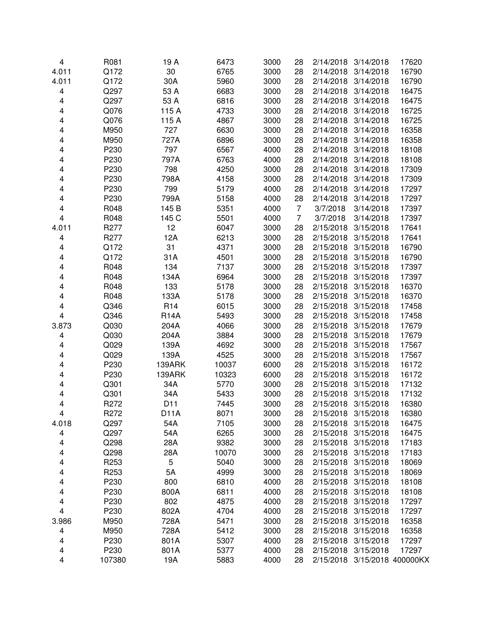| 4     | R081             | 19 A            | 6473  | 3000 | 28             | 2/14/2018 | 3/14/2018          | 17620 |
|-------|------------------|-----------------|-------|------|----------------|-----------|--------------------|-------|
| 4.011 | Q172             | 30              | 6765  | 3000 | 28             | 2/14/2018 | 3/14/2018          | 16790 |
| 4.011 | Q172             | 30A             | 5960  | 3000 | 28             | 2/14/2018 | 3/14/2018          | 16790 |
| 4     | Q297             | 53 A            | 6683  | 3000 | 28             | 2/14/2018 | 3/14/2018          | 16475 |
| 4     | Q297             | 53 A            | 6816  | 3000 | 28             | 2/14/2018 | 3/14/2018          | 16475 |
| 4     | Q076             | 115 A           | 4733  | 3000 | 28             | 2/14/2018 | 3/14/2018          | 16725 |
| 4     | Q076             | 115 A           | 4867  | 3000 | 28             | 2/14/2018 | 3/14/2018          | 16725 |
| 4     | M950             | 727             | 6630  | 3000 | 28             | 2/14/2018 | 3/14/2018          | 16358 |
| 4     | M950             | 727A            | 6896  | 3000 | 28             | 2/14/2018 | 3/14/2018          | 16358 |
| 4     | P230             | 797             | 6567  | 4000 | 28             | 2/14/2018 | 3/14/2018          | 18108 |
| 4     | P230             | 797A            | 6763  | 4000 | 28             | 2/14/2018 | 3/14/2018          | 18108 |
| 4     | P230             | 798             | 4250  | 3000 | 28             | 2/14/2018 | 3/14/2018          | 17309 |
| 4     | P230             | 798A            | 4158  | 3000 | 28             | 2/14/2018 | 3/14/2018          | 17309 |
| 4     | P230             | 799             | 5179  | 4000 | 28             | 2/14/2018 | 3/14/2018          | 17297 |
| 4     | P230             | 799A            | 5158  | 4000 | 28             | 2/14/2018 | 3/14/2018          | 17297 |
| 4     | R048             | 145 B           | 5351  | 4000 | $\overline{7}$ | 3/7/2018  | 3/14/2018          | 17397 |
| 4     | R048             | 145 C           | 5501  | 4000 | $\overline{7}$ | 3/7/2018  | 3/14/2018          | 17397 |
| 4.011 | R277             | 12              | 6047  | 3000 | 28             | 2/15/2018 | 3/15/2018          | 17641 |
| 4     | R277             | 12A             | 6213  | 3000 | 28             | 2/15/2018 | 3/15/2018          | 17641 |
| 4     | Q172             | 31              | 4371  | 3000 | 28             | 2/15/2018 | 3/15/2018          | 16790 |
| 4     | Q172             | 31A             | 4501  | 3000 | 28             | 2/15/2018 | 3/15/2018          | 16790 |
| 4     | R048             | 134             | 7137  | 3000 | 28             | 2/15/2018 | 3/15/2018          | 17397 |
| 4     | R048             | 134A            | 6964  | 3000 | 28             | 2/15/2018 | 3/15/2018          | 17397 |
| 4     | R048             | 133             | 5178  | 3000 | 28             | 2/15/2018 | 3/15/2018          | 16370 |
| 4     | R048             | 133A            | 5178  | 3000 | 28             | 2/15/2018 | 3/15/2018          | 16370 |
| 4     | Q346             | R <sub>14</sub> | 6015  | 3000 | 28             | 2/15/2018 | 3/15/2018          | 17458 |
| 4     | Q346             | <b>R14A</b>     | 5493  | 3000 | 28             | 2/15/2018 | 3/15/2018          | 17458 |
| 3.873 | Q030             | 204A            | 4066  | 3000 | 28             | 2/15/2018 | 3/15/2018          | 17679 |
| 4     | Q030             | 204A            | 3884  | 3000 | 28             | 2/15/2018 | 3/15/2018          | 17679 |
| 4     | Q029             | 139A            | 4692  | 3000 | 28             | 2/15/2018 | 3/15/2018          | 17567 |
| 4     | Q029             | 139A            | 4525  | 3000 | 28             | 2/15/2018 | 3/15/2018          | 17567 |
| 4     | P230             | 139ARK          | 10037 | 6000 | 28             | 2/15/2018 | 3/15/2018          | 16172 |
| 4     | P230             | 139ARK          | 10323 | 6000 | 28             | 2/15/2018 | 3/15/2018          | 16172 |
| 4     | Q301             | 34A             | 5770  | 3000 | 28             | 2/15/2018 | 3/15/2018          | 17132 |
| 4     | Q301             | 34A             | 5433  | 3000 | 28             | 2/15/2018 | 3/15/2018          | 17132 |
| 4     | R272             | D11             | 7445  | 3000 | 28             | 2/15/2018 | 3/15/2018          | 16380 |
| 4     | R272             | <b>D11A</b>     | 8071  | 3000 | 28             | 2/15/2018 | 3/15/2018          | 16380 |
| 4.018 | Q297             | 54A             | 7105  | 3000 | 28             | 2/15/2018 | 3/15/2018          | 16475 |
| 4     | Q297             | 54A             | 6265  | 3000 | 28             | 2/15/2018 | 3/15/2018          | 16475 |
| 4     | Q298             | 28A             | 9382  | 3000 | 28             | 2/15/2018 | 3/15/2018          | 17183 |
| 4     | Q298             | 28A             | 10070 | 3000 | 28             | 2/15/2018 | 3/15/2018          | 17183 |
| 4     | R <sub>253</sub> | 5               | 5040  | 3000 | 28             | 2/15/2018 | 3/15/2018          | 18069 |
| 4     | R <sub>253</sub> | 5A              | 4999  | 3000 | 28             | 2/15/2018 | 3/15/2018          | 18069 |
| 4     | P230             | 800             | 6810  | 4000 | 28             | 2/15/2018 | 3/15/2018          | 18108 |
| 4     | P230             | 800A            | 6811  | 4000 | 28             | 2/15/2018 | 3/15/2018          | 18108 |
| 4     | P230             | 802             | 4875  | 4000 | 28             | 2/15/2018 | 3/15/2018          | 17297 |
| 4     | P230             | 802A            | 4704  | 4000 | 28             | 2/15/2018 | 3/15/2018          | 17297 |
| 3.986 | M950             | 728A            | 5471  | 3000 | 28             | 2/15/2018 | 3/15/2018          | 16358 |
| 4     | M950             | 728A            | 5412  | 3000 | 28             | 2/15/2018 | 3/15/2018          | 16358 |
| 4     | P230             | 801A            | 5307  | 4000 | 28             | 2/15/2018 | 3/15/2018          | 17297 |
| 4     | P230             | 801A            | 5377  | 4000 | 28             | 2/15/2018 | 3/15/2018          | 17297 |
| 4     | 107380           | 19A             | 5883  | 4000 | 28             | 2/15/2018 | 3/15/2018 400000KX |       |